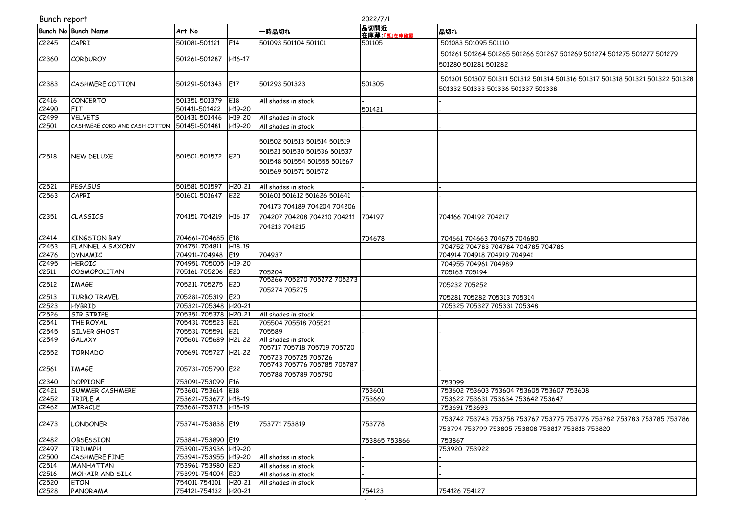|  | Bunch report |  |
|--|--------------|--|
|  |              |  |

|                    | 2022/7/1<br>Bunch report      |                      |                     |                                                                                                                   |                            |                                                                                                                           |
|--------------------|-------------------------------|----------------------|---------------------|-------------------------------------------------------------------------------------------------------------------|----------------------------|---------------------------------------------------------------------------------------------------------------------------|
|                    | <b>Bunch No Bunch Name</b>    | Art No               |                     | ·時品切れ                                                                                                             | 品切間近<br>在庫薄 <u>「要」在庫確認</u> | 品切れ                                                                                                                       |
| C2245              | CAPRI                         | 501081-501121        | E14                 | 501093 501104 501101                                                                                              | 501105                     | 501083 501095 501110                                                                                                      |
| C <sub>2360</sub>  | <b>CORDUROY</b>               | 501261-501287        | H <sub>16</sub> -17 |                                                                                                                   |                            | 501261 501264 501265 501266 501267 501269 501274 501275 501277 501279<br>501280 501281 501282                             |
| C <sub>2</sub> 383 | <b>CASHMERE COTTON</b>        | 501291-501343        | <b>E17</b>          | 501293 501323                                                                                                     | 501305                     | 501301 501307 501311 501312 501314 501316 501317 501318 501321 501322 501328<br>501332 501333 501336 501337 501338        |
| C2416              | CONCERTO                      | 501351-501379        | E18                 | All shades in stock                                                                                               |                            |                                                                                                                           |
| C2490              | FIT                           | 501411-501422        | H <sub>19</sub> -20 |                                                                                                                   | 501421                     |                                                                                                                           |
| C2499              | <b>VELVETS</b>                | 501431-501446        | H <sub>19</sub> -20 | All shades in stock                                                                                               |                            |                                                                                                                           |
| C2501              | CASHMERE CORD AND CASH COTTON | 501451-501481        | H <sub>19</sub> -20 | All shades in stock                                                                                               |                            |                                                                                                                           |
| C2518              | NEW DELUXE                    | 501501-501572 E20    |                     | 501502 501513 501514 501519<br>501521 501530 501536 501537<br>501548 501554 501555 501567<br>501569 501571 501572 |                            |                                                                                                                           |
| C2521              | <b>PEGASUS</b>                | 501581-501597        | H <sub>20</sub> -21 | All shades in stock                                                                                               |                            |                                                                                                                           |
| C2563              | CAPRI                         | 501601-501647        | E22                 | 501601 501612 501626 501641                                                                                       |                            |                                                                                                                           |
| C2351              | <b>CLASSICS</b>               | 704151-704219        | H <sub>16-17</sub>  | 704173 704189 704204 704206<br>704207 704208 704210 704211<br>704213 704215                                       | 704197                     | 704166 704192 704217                                                                                                      |
| C2414              | <b>KINGSTON BAY</b>           | 704661-704685 E18    |                     |                                                                                                                   | 704678                     | 704661 704663 704675 704680                                                                                               |
| C2453              | <b>FLANNEL &amp; SAXONY</b>   | 704751-704811 H18-19 |                     |                                                                                                                   |                            | 704752 704783 704784 704785 704786                                                                                        |
| C2476              | <b>DYNAMIC</b>                | 704911-704948 E19    |                     | 704937                                                                                                            |                            | 704914 704918 704919 704941                                                                                               |
| C2495              | <b>HEROIC</b>                 | 704951-705005 H19-20 |                     |                                                                                                                   |                            | 704955 704961 704989                                                                                                      |
| C2511              | COSMOPOLITAN                  | 705161-705206        | E20                 | 705204                                                                                                            |                            | 705163 705194                                                                                                             |
| C <sub>2512</sub>  | <b>IMAGE</b>                  | 705211-705275        | E20                 | 705266 705270 705272 705273<br>705274 705275                                                                      |                            | 705232 705252                                                                                                             |
| C2513              | <b>TURBO TRAVEL</b>           | 705281-705319 E20    |                     |                                                                                                                   |                            | 705281 705282 705313 705314                                                                                               |
| C2523              | <b>HYBRID</b>                 | 705321-705348 H20-21 |                     |                                                                                                                   |                            | 705325 705327 705331 705348                                                                                               |
| C2526              | SIR STRIPE                    | 705351-705378 H20-21 |                     | All shades in stock                                                                                               |                            |                                                                                                                           |
| C2541              | <b>THE ROYAL</b>              | 705431-705523 E21    |                     | 705504 705518 705521                                                                                              |                            |                                                                                                                           |
| C2545              | SILVER GHOST                  | 705531-705591 E21    |                     | 705589                                                                                                            |                            |                                                                                                                           |
| C <sub>2549</sub>  | GALAXY                        | 705601-705689 H21-22 |                     | All shades in stock                                                                                               |                            |                                                                                                                           |
| C2552              | <b>TORNADO</b>                | 705691-705727        | H21-22              | 705717 705718 705719 705720<br>705723 705725 705726                                                               |                            |                                                                                                                           |
| C <sub>2561</sub>  | <b>IMAGE</b>                  | 705731-705790 E22    |                     | 705743 705776 705785 705787<br>705788 705789 705790                                                               |                            |                                                                                                                           |
| C2340              | <b>DOPPIONE</b>               | 753091-753099 E16    |                     |                                                                                                                   |                            | 753099                                                                                                                    |
| C2421              | <b>SUMMER CASHMERE</b>        | 753601-753614 E18    |                     |                                                                                                                   | 753601                     | 753602 753603 753604 753605 753607 753608                                                                                 |
| C2452              | TRIPLE A                      | 753621-753677 H18-19 |                     |                                                                                                                   | 753669                     | 753622 753631 753634 753642 753647                                                                                        |
| C <sub>2462</sub>  | <b>MIRACLE</b>                | 753681-753713 H18-19 |                     |                                                                                                                   |                            | 753691 753693                                                                                                             |
| C <sub>2473</sub>  | LONDONER                      | 753741-753838 E19    |                     | 753771753819                                                                                                      | 753778                     | 753742 753743 753758 753767 753775 753776 753782 753783 753785 753786<br>753794 753799 753805 753808 753817 753818 753820 |
| C2482              | OBSESSION                     | 753841-753890 E19    |                     |                                                                                                                   | 753865 753866              | 753867                                                                                                                    |
| C2497              | <b>TRIUMPH</b>                | 753901-753936 H19-20 |                     |                                                                                                                   |                            | 753920 753922                                                                                                             |
| C <sub>2500</sub>  | CASHMERE FINE                 | 753941-753955 H19-20 |                     | All shades in stock                                                                                               |                            |                                                                                                                           |
| C <sub>2514</sub>  | <b>MANHATTAN</b>              | 753961-753980 E20    |                     | All shades in stock                                                                                               |                            |                                                                                                                           |
| C2516              | MOHAIR AND SILK               | 753991-754004 E20    |                     | All shades in stock                                                                                               |                            |                                                                                                                           |
| C2520              | <b>ETON</b>                   | 754011-754101 H20-21 |                     | All shades in stock                                                                                               |                            |                                                                                                                           |
| C2528              | PANORAMA                      | 754121-754132 H20-21 |                     |                                                                                                                   | 754123                     | 754126 754127                                                                                                             |